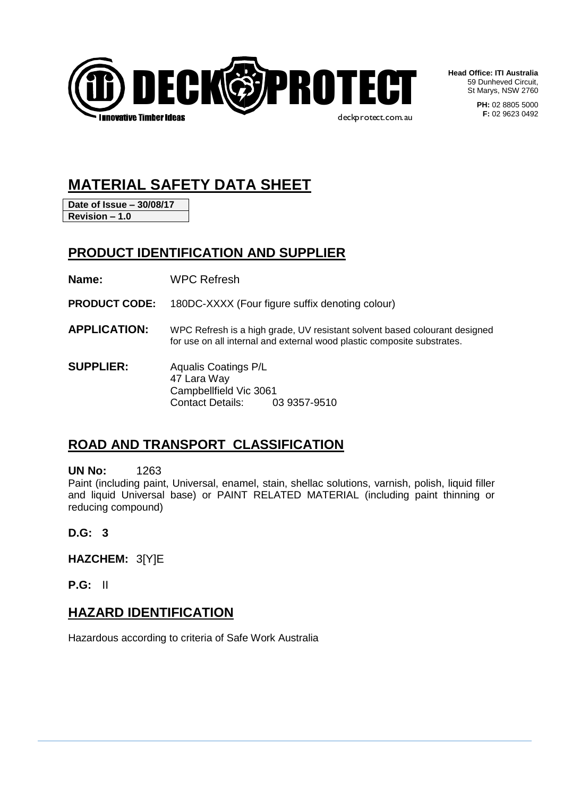

**Head Office: ITI Australia** 59 Dunheved Circuit, St Marys, NSW 2760

> **PH:** 02 8805 5000 **F:** 02 9623 0492

# **MATERIAL SAFETY DATA SHEET**

**Date of Issue – 30/08/17 Revision – 1.0**

## **PRODUCT IDENTIFICATION AND SUPPLIER**

**Name:** WPC Refresh

**PRODUCT CODE:** 180DC-XXXX (Four figure suffix denoting colour)

- **APPLICATION:** WPC Refresh is a high grade, UV resistant solvent based colourant designed for use on all internal and external wood plastic composite substrates.
- **SUPPLIER:** Aqualis Coatings P/L 47 Lara Way Campbellfield Vic 3061 Contact Details: 03 9357-9510

## **ROAD AND TRANSPORT CLASSIFICATION**

**UN No:** 1263

Paint (including paint, Universal, enamel, stain, shellac solutions, varnish, polish, liquid filler and liquid Universal base) or PAINT RELATED MATERIAL (including paint thinning or reducing compound)

**D.G: 3**

**HAZCHEM:** 3[Y]E

**P.G:** II

### **HAZARD IDENTIFICATION**

Hazardous according to criteria of Safe Work Australia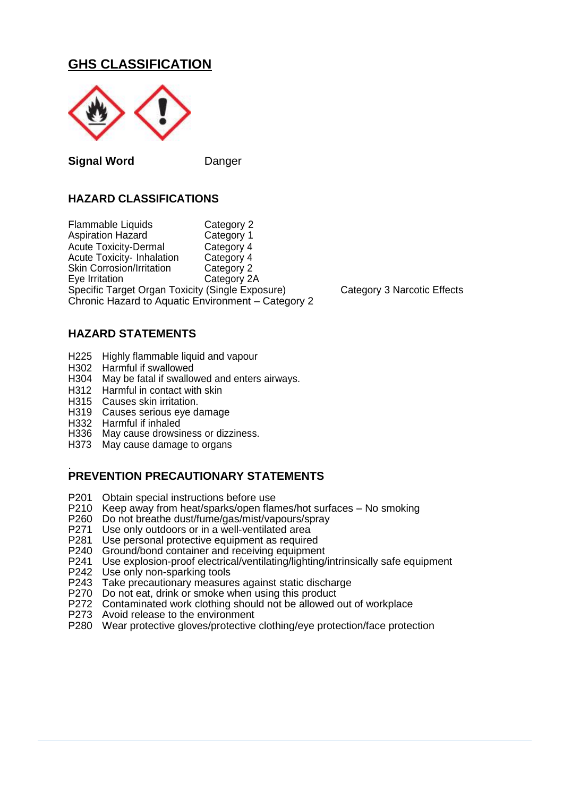## **GHS CLASSIFICATION**



**Signal Word** Danger

### **HAZARD CLASSIFICATIONS**

Flammable Liquids Category 2<br>
Aspiration Hazard Category 1 Aspiration Hazard Acute Toxicity-Dermal Category 4<br>Acute Toxicity-Inhalation Category 4 Acute Toxicity- Inhalation Category 4<br>Skin Corrosion/Irritation Category 2 Skin Corrosion/Irritation<br>Eve Irritation Category 2A Specific Target Organ Toxicity (Single Exposure) Category 3 Narcotic Effects Chronic Hazard to Aquatic Environment – Category 2

#### **HAZARD STATEMENTS**

- H225 Highly flammable liquid and vapour<br>H302 Harmful if swallowed
- Harmful if swallowed
- H304 May be fatal if swallowed and enters airways.
- H312 Harmful in contact with skin
- H315 Causes skin irritation.
- H319 Causes serious eye damage
- H332 Harmful if inhaled
- H336 May cause drowsiness or dizziness.
- H373 May cause damage to organs

#### . **PREVENTION PRECAUTIONARY STATEMENTS**

- P201 Obtain special instructions before use<br>P210 Keep away from heat/sparks/open flan
- P210 Keep away from heat/sparks/open flames/hot surfaces No smoking<br>P260 Do not breathe dust/fume/gas/mist/vapours/spray
- P260 Do not breathe dust/fume/gas/mist/vapours/spray<br>P271 Use only outdoors or in a well-ventilated area
- P271 Use only outdoors or in a well-ventilated area<br>P281 Use personal protective equipment as require
- Use personal protective equipment as required
- P240 Ground/bond container and receiving equipment<br>P241 Use explosion-proof electrical/ventilating/lighting/
- Use explosion-proof electrical/ventilating/lighting/intrinsically safe equipment
- P242 Use only non-sparking tools
- P243 Take precautionary measures against static discharge
- P270 Do not eat, drink or smoke when using this product
- P272 Contaminated work clothing should not be allowed out of workplace
- P273 Avoid release to the environment
- P280 Wear protective gloves/protective clothing/eye protection/face protection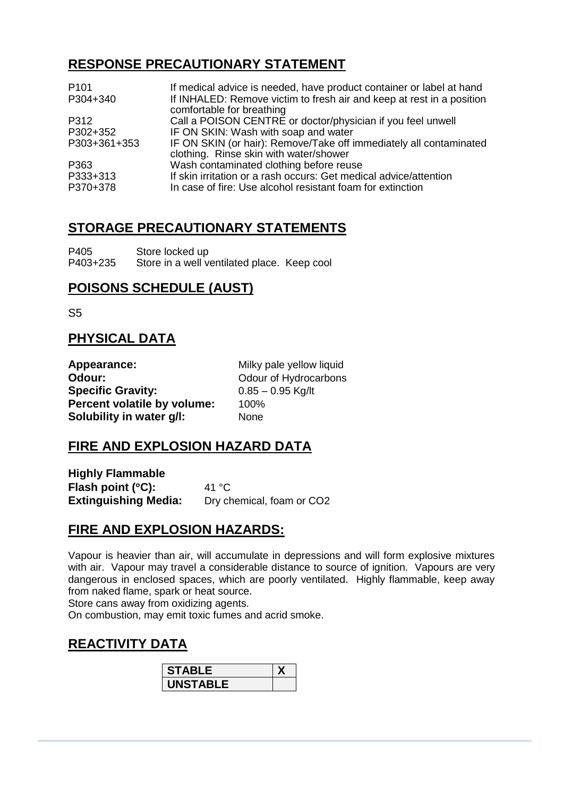## **RESPONSE PRECAUTIONARY STATEMENT**

| P <sub>101</sub> | If medical advice is needed, have product container or label at hand                                         |
|------------------|--------------------------------------------------------------------------------------------------------------|
| P304+340         | If INHALED: Remove victim to fresh air and keep at rest in a position<br>comfortable for breathing           |
| P312             | Call a POISON CENTRE or doctor/physician if you feel unwell                                                  |
| P302+352         | IF ON SKIN: Wash with soap and water                                                                         |
| P303+361+353     | IF ON SKIN (or hair): Remove/Take off immediately all contaminated<br>clothing. Rinse skin with water/shower |
| P363             | Wash contaminated clothing before reuse                                                                      |
| P333+313         | If skin irritation or a rash occurs: Get medical advice/attention                                            |
| P370+378         | In case of fire: Use alcohol resistant foam for extinction                                                   |

## **STORAGE PRECAUTIONARY STATEMENTS**

P405 Store locked up<br>P403+235 Store in a well ve Store in a well ventilated place. Keep cool

## **POISONS SCHEDULE (AUST)**

S5

## **PHYSICAL DATA**

| Appearance:                 | Milky pale yellow liquid |
|-----------------------------|--------------------------|
| Odour:                      | Odour of Hydrocarbons    |
| <b>Specific Gravity:</b>    | $0.85 - 0.95$ Kg/lt      |
| Percent volatile by volume: | 100%                     |
| Solubility in water g/l:    | <b>None</b>              |

## **FIRE AND EXPLOSION HAZARD DATA**

**Highly Flammable Flash point (°C):** 41 °C **Extinguishing Media:** Dry chemical, foam or CO2

## **FIRE AND EXPLOSION HAZARDS:**

Vapour is heavier than air, will accumulate in depressions and will form explosive mixtures with air. Vapour may travel a considerable distance to source of ignition. Vapours are very dangerous in enclosed spaces, which are poorly ventilated. Highly flammable, keep away from naked flame, spark or heat source.

Store cans away from oxidizing agents.

On combustion, may emit toxic fumes and acrid smoke.

## **REACTIVITY DATA**

| <b>STABLE</b>   |  |
|-----------------|--|
| <b>UNSTABLE</b> |  |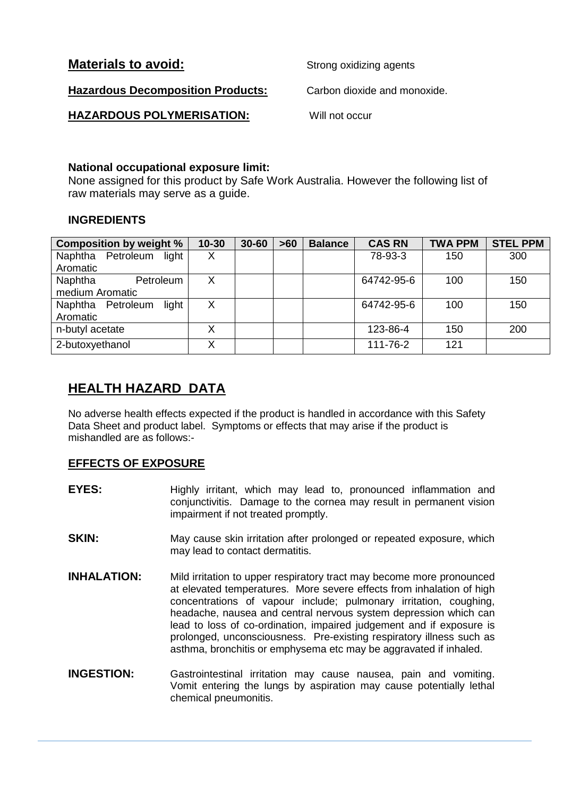| <b>Materials to avoid:</b> |  |  |
|----------------------------|--|--|
|                            |  |  |

**Strong oxidizing agents** 

**Hazardous Decomposition Products:** Carbon dioxide and monoxide.

**HAZARDOUS POLYMERISATION:** Will not occur

#### **National occupational exposure limit:**

None assigned for this product by Safe Work Australia. However the following list of raw materials may serve as a guide.

### **INGREDIENTS**

| <b>Composition by weight %</b> | $10 - 30$ | $30 - 60$ | $>60$ | <b>Balance</b> | <b>CAS RN</b> | <b>TWA PPM</b> | <b>STEL PPM</b> |
|--------------------------------|-----------|-----------|-------|----------------|---------------|----------------|-----------------|
| Naphtha Petroleum<br>light     | X         |           |       |                | 78-93-3       | 150            | 300             |
| Aromatic                       |           |           |       |                |               |                |                 |
| Naphtha<br>Petroleum           | Χ         |           |       |                | 64742-95-6    | 100            | 150             |
| medium Aromatic                |           |           |       |                |               |                |                 |
| light<br>Naphtha Petroleum     | X         |           |       |                | 64742-95-6    | 100            | 150             |
| Aromatic                       |           |           |       |                |               |                |                 |
| n-butyl acetate                | X         |           |       |                | 123-86-4      | 150            | 200             |
| 2-butoxyethanol                |           |           |       |                | 111-76-2      | 121            |                 |

## **HEALTH HAZARD DATA**

No adverse health effects expected if the product is handled in accordance with this Safety Data Sheet and product label. Symptoms or effects that may arise if the product is mishandled are as follows:-

### **EFFECTS OF EXPOSURE**

- **EYES:** Highly irritant, which may lead to, pronounced inflammation and conjunctivitis. Damage to the cornea may result in permanent vision impairment if not treated promptly.
- **SKIN:** May cause skin irritation after prolonged or repeated exposure, which may lead to contact dermatitis.
- **INHALATION:** Mild irritation to upper respiratory tract may become more pronounced at elevated temperatures. More severe effects from inhalation of high concentrations of vapour include; pulmonary irritation, coughing, headache, nausea and central nervous system depression which can lead to loss of co-ordination, impaired judgement and if exposure is prolonged, unconsciousness. Pre-existing respiratory illness such as asthma, bronchitis or emphysema etc may be aggravated if inhaled.
- **INGESTION:** Gastrointestinal irritation may cause nausea, pain and vomiting. Vomit entering the lungs by aspiration may cause potentially lethal chemical pneumonitis.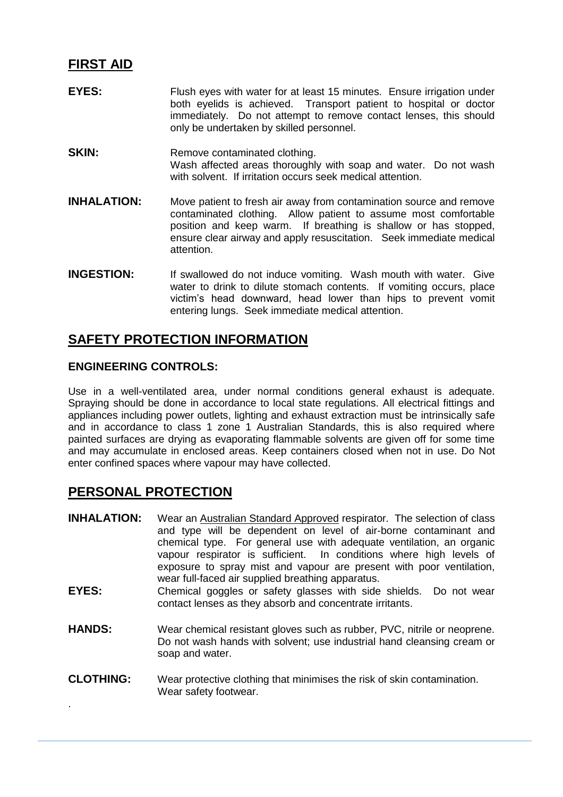### **FIRST AID**

- **EYES:** Flush eyes with water for at least 15 minutes. Ensure irrigation under both eyelids is achieved. Transport patient to hospital or doctor immediately. Do not attempt to remove contact lenses, this should only be undertaken by skilled personnel.
- **SKIN:** Remove contaminated clothing. Wash affected areas thoroughly with soap and water. Do not wash with solvent. If irritation occurs seek medical attention.
- **INHALATION:** Move patient to fresh air away from contamination source and remove contaminated clothing. Allow patient to assume most comfortable position and keep warm. If breathing is shallow or has stopped, ensure clear airway and apply resuscitation. Seek immediate medical attention.
- **INGESTION:** If swallowed do not induce vomiting. Wash mouth with water. Give water to drink to dilute stomach contents. If vomiting occurs, place victim's head downward, head lower than hips to prevent vomit entering lungs. Seek immediate medical attention.

## **SAFETY PROTECTION INFORMATION**

#### **ENGINEERING CONTROLS:**

Use in a well-ventilated area, under normal conditions general exhaust is adequate. Spraying should be done in accordance to local state regulations. All electrical fittings and appliances including power outlets, lighting and exhaust extraction must be intrinsically safe and in accordance to class 1 zone 1 Australian Standards, this is also required where painted surfaces are drying as evaporating flammable solvents are given off for some time and may accumulate in enclosed areas. Keep containers closed when not in use. Do Not enter confined spaces where vapour may have collected.

## **PERSONAL PROTECTION**

.

- **INHALATION:** Wear an Australian Standard Approved respirator. The selection of class and type will be dependent on level of air-borne contaminant and chemical type. For general use with adequate ventilation, an organic vapour respirator is sufficient. In conditions where high levels of exposure to spray mist and vapour are present with poor ventilation, wear full-faced air supplied breathing apparatus.
- **EYES:** Chemical goggles or safety glasses with side shields. Do not wear contact lenses as they absorb and concentrate irritants.
- **HANDS:** Wear chemical resistant gloves such as rubber, PVC, nitrile or neoprene. Do not wash hands with solvent; use industrial hand cleansing cream or soap and water.
- **CLOTHING:** Wear protective clothing that minimises the risk of skin contamination. Wear safety footwear.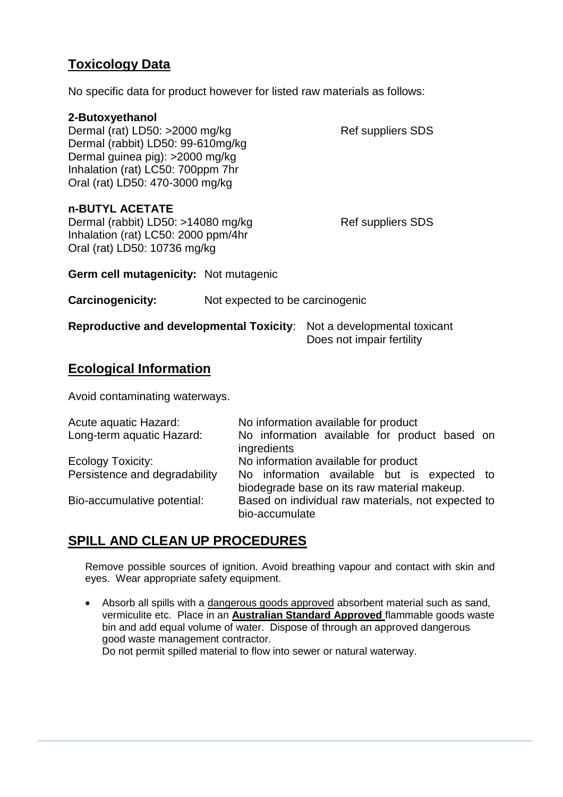## **Toxicology Data**

No specific data for product however for listed raw materials as follows:

#### **2-Butoxyethanol**

| <b>Ref suppliers SDS</b> |
|--------------------------|
|                          |
|                          |
|                          |
|                          |
|                          |

#### **n-BUTYL ACETATE**

Dermal (rabbit) LD50: >14080 mg/kg Ref suppliers SDS Inhalation (rat) LC50: 2000 ppm/4hr Oral (rat) LD50: 10736 mg/kg

**Germ cell mutagenicity:** Not mutagenic

**Carcinogenicity:** Not expected to be carcinogenic

| <b>Reproductive and developmental Toxicity:</b> Not a developmental toxicant |                           |  |
|------------------------------------------------------------------------------|---------------------------|--|
|                                                                              | Does not impair fertility |  |

### **Ecological Information**

Avoid contaminating waterways.

| Acute aquatic Hazard:         | No information available for product                                                       |
|-------------------------------|--------------------------------------------------------------------------------------------|
| Long-term aquatic Hazard:     | No information available for product based on<br>ingredients                               |
| Ecology Toxicity:             | No information available for product                                                       |
| Persistence and degradability | No information available but is expected to<br>biodegrade base on its raw material makeup. |
| Bio-accumulative potential:   | Based on individual raw materials, not expected to<br>bio-accumulate                       |

### **SPILL AND CLEAN UP PROCEDURES**

Remove possible sources of ignition. Avoid breathing vapour and contact with skin and eyes. Wear appropriate safety equipment.

• Absorb all spills with a dangerous goods approved absorbent material such as sand, vermiculite etc. Place in an **Australian Standard Approved** flammable goods waste bin and add equal volume of water. Dispose of through an approved dangerous good waste management contractor. Do not permit spilled material to flow into sewer or natural waterway.